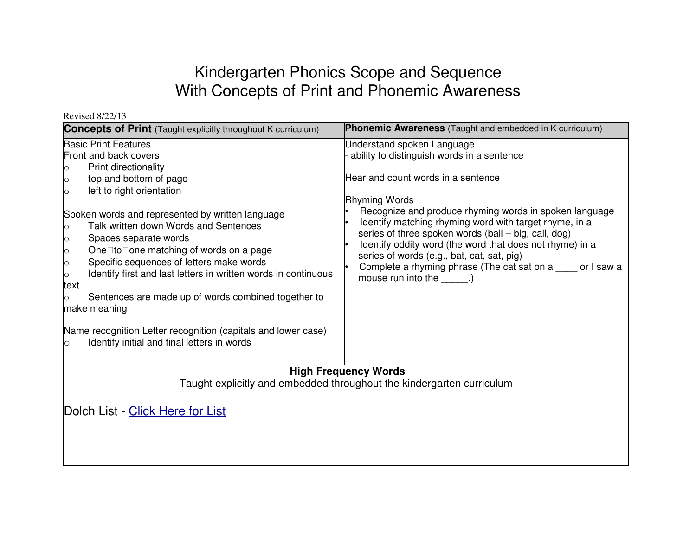## Kindergarten Phonics Scope and Sequence With Concepts of Print and Phonemic Awareness

| REVISEU 0122113<br><b>Concepts of Print</b> (Taught explicitly throughout K curriculum)                                                                                                                                                                                                                                                                                                                                                                                                                                                                                                                                                                                                  | <b>Phonemic Awareness</b> (Taught and embedded in K curriculum)                                                                                                                                                                                                                                                                                                                                                                                                                                                            |  |
|------------------------------------------------------------------------------------------------------------------------------------------------------------------------------------------------------------------------------------------------------------------------------------------------------------------------------------------------------------------------------------------------------------------------------------------------------------------------------------------------------------------------------------------------------------------------------------------------------------------------------------------------------------------------------------------|----------------------------------------------------------------------------------------------------------------------------------------------------------------------------------------------------------------------------------------------------------------------------------------------------------------------------------------------------------------------------------------------------------------------------------------------------------------------------------------------------------------------------|--|
|                                                                                                                                                                                                                                                                                                                                                                                                                                                                                                                                                                                                                                                                                          |                                                                                                                                                                                                                                                                                                                                                                                                                                                                                                                            |  |
| <b>Basic Print Features</b><br><b>Front and back covers</b><br>Print directionality<br>O<br>top and bottom of page<br>left to right orientation<br>$\circ$<br>Spoken words and represented by written language<br>Talk written down Words and Sentences<br>Spaces separate words<br>$\circ$<br>One to one matching of words on a page<br>$\circ$<br>Specific sequences of letters make words<br>$\circ$<br>Identify first and last letters in written words in continuous<br>$\circ$<br>text<br>Sentences are made up of words combined together to<br>O<br>make meaning<br>Name recognition Letter recognition (capitals and lower case)<br>Identify initial and final letters in words | Understand spoken Language<br>ability to distinguish words in a sentence<br>Hear and count words in a sentence<br><b>Rhyming Words</b><br>Recognize and produce rhyming words in spoken language<br>Identify matching rhyming word with target rhyme, in a<br>series of three spoken words (ball – big, call, dog)<br>Identify oddity word (the word that does not rhyme) in a<br>series of words (e.g., bat, cat, sat, pig)<br>Complete a rhyming phrase (The cat sat on a ____ or I saw a<br>mouse run into the ______.) |  |
| <b>High Frequency Words</b><br>Taught explicitly and embedded throughout the kindergarten curriculum                                                                                                                                                                                                                                                                                                                                                                                                                                                                                                                                                                                     |                                                                                                                                                                                                                                                                                                                                                                                                                                                                                                                            |  |
| Dolch List - Click Here for List                                                                                                                                                                                                                                                                                                                                                                                                                                                                                                                                                                                                                                                         |                                                                                                                                                                                                                                                                                                                                                                                                                                                                                                                            |  |

 $R$ evised  $8/22/13$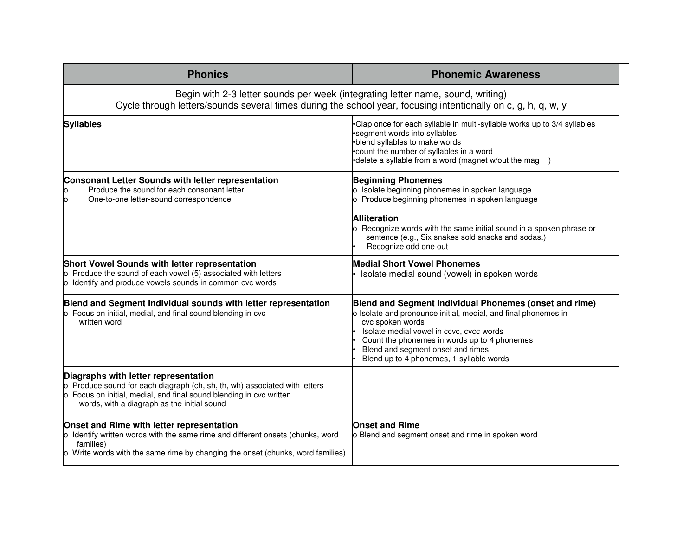| <b>Phonics</b>                                                                                                                                                                                                                           | <b>Phonemic Awareness</b>                                                                                                                                                                                                                                                                                                 |  |
|------------------------------------------------------------------------------------------------------------------------------------------------------------------------------------------------------------------------------------------|---------------------------------------------------------------------------------------------------------------------------------------------------------------------------------------------------------------------------------------------------------------------------------------------------------------------------|--|
| Begin with 2-3 letter sounds per week (integrating letter name, sound, writing)<br>Cycle through letters/sounds several times during the school year, focusing intentionally on c, g, h, q, w, y                                         |                                                                                                                                                                                                                                                                                                                           |  |
| <b>Syllables</b>                                                                                                                                                                                                                         | •Clap once for each syllable in multi-syllable works up to 3/4 syllables<br>•segment words into syllables<br>•blend syllables to make words<br>.count the number of syllables in a word<br>•delete a syllable from a word (magnet w/out the mag)                                                                          |  |
| Consonant Letter Sounds with letter representation<br>Produce the sound for each consonant letter<br>Ю<br>lo<br>One-to-one letter-sound correspondence                                                                                   | <b>Beginning Phonemes</b><br>o Isolate beginning phonemes in spoken language<br>o Produce beginning phonemes in spoken language<br><b>Alliteration</b><br>o Recognize words with the same initial sound in a spoken phrase or<br>sentence (e.g., Six snakes sold snacks and sodas.)<br>Recognize odd one out              |  |
| Short Vowel Sounds with letter representation<br>o Produce the sound of each vowel (5) associated with letters<br>o Identify and produce vowels sounds in common cvc words                                                               | <b>Medial Short Vowel Phonemes</b><br>Isolate medial sound (vowel) in spoken words                                                                                                                                                                                                                                        |  |
| Blend and Segment Individual sounds with letter representation<br>o Focus on initial, medial, and final sound blending in cvc<br>written word                                                                                            | Blend and Segment Individual Phonemes (onset and rime)<br>o Isolate and pronounce initial, medial, and final phonemes in<br>cvc spoken words<br>Isolate medial vowel in ccvc, cvcc words<br>Count the phonemes in words up to 4 phonemes<br>Blend and segment onset and rimes<br>Blend up to 4 phonemes, 1-syllable words |  |
| Diagraphs with letter representation<br>o Produce sound for each diagraph (ch, sh, th, wh) associated with letters<br>o Focus on initial, medial, and final sound blending in cvc written<br>words, with a diagraph as the initial sound |                                                                                                                                                                                                                                                                                                                           |  |
| Onset and Rime with letter representation<br>o Identify written words with the same rime and different onsets (chunks, word<br>families)<br>o Write words with the same rime by changing the onset (chunks, word families)               | <b>Onset and Rime</b><br>o Blend and segment onset and rime in spoken word                                                                                                                                                                                                                                                |  |